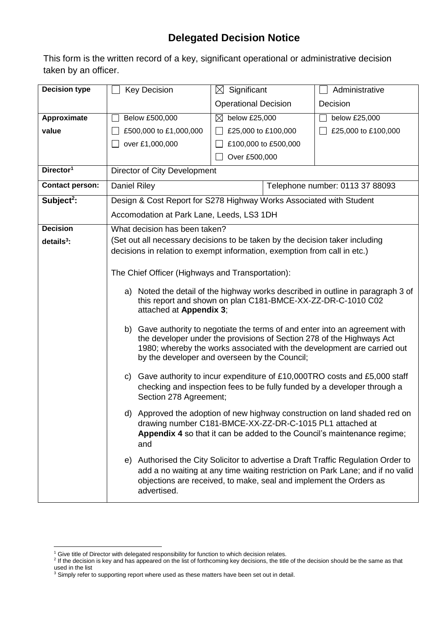## **Delegated Decision Notice**

This form is the written record of a key, significant operational or administrative decision taken by an officer.

| <b>Decision type</b>   | <b>Key Decision</b>                                                                                                                            | $\boxtimes$ Significant                                                                                                                                             | Administrative                  |  |  |  |  |
|------------------------|------------------------------------------------------------------------------------------------------------------------------------------------|---------------------------------------------------------------------------------------------------------------------------------------------------------------------|---------------------------------|--|--|--|--|
|                        |                                                                                                                                                | <b>Operational Decision</b>                                                                                                                                         | Decision                        |  |  |  |  |
| Approximate            | Below £500,000                                                                                                                                 | $\boxtimes$ below £25,000                                                                                                                                           | below £25,000                   |  |  |  |  |
| value                  | £500,000 to £1,000,000                                                                                                                         | £25,000 to £100,000                                                                                                                                                 | £25,000 to £100,000             |  |  |  |  |
|                        | over £1,000,000                                                                                                                                | £100,000 to £500,000                                                                                                                                                |                                 |  |  |  |  |
|                        |                                                                                                                                                | Over £500,000                                                                                                                                                       |                                 |  |  |  |  |
| Director <sup>1</sup>  | Director of City Development                                                                                                                   |                                                                                                                                                                     |                                 |  |  |  |  |
| <b>Contact person:</b> | Daniel Riley                                                                                                                                   |                                                                                                                                                                     | Telephone number: 0113 37 88093 |  |  |  |  |
| Subject <sup>2</sup> : |                                                                                                                                                | Design & Cost Report for S278 Highway Works Associated with Student                                                                                                 |                                 |  |  |  |  |
|                        | Accomodation at Park Lane, Leeds, LS3 1DH                                                                                                      |                                                                                                                                                                     |                                 |  |  |  |  |
| <b>Decision</b>        | What decision has been taken?                                                                                                                  |                                                                                                                                                                     |                                 |  |  |  |  |
| $details3$ :           | (Set out all necessary decisions to be taken by the decision taker including                                                                   |                                                                                                                                                                     |                                 |  |  |  |  |
|                        | decisions in relation to exempt information, exemption from call in etc.)                                                                      |                                                                                                                                                                     |                                 |  |  |  |  |
|                        | The Chief Officer (Highways and Transportation):                                                                                               |                                                                                                                                                                     |                                 |  |  |  |  |
|                        |                                                                                                                                                |                                                                                                                                                                     |                                 |  |  |  |  |
|                        | a) Noted the detail of the highway works described in outline in paragraph 3 of<br>this report and shown on plan C181-BMCE-XX-ZZ-DR-C-1010 C02 |                                                                                                                                                                     |                                 |  |  |  |  |
|                        | attached at Appendix 3;                                                                                                                        |                                                                                                                                                                     |                                 |  |  |  |  |
|                        |                                                                                                                                                | b) Gave authority to negotiate the terms of and enter into an agreement with                                                                                        |                                 |  |  |  |  |
|                        |                                                                                                                                                | the developer under the provisions of Section 278 of the Highways Act                                                                                               |                                 |  |  |  |  |
|                        | 1980; whereby the works associated with the development are carried out<br>by the developer and overseen by the Council;                       |                                                                                                                                                                     |                                 |  |  |  |  |
|                        |                                                                                                                                                |                                                                                                                                                                     |                                 |  |  |  |  |
|                        | C)                                                                                                                                             | Gave authority to incur expenditure of £10,000TRO costs and £5,000 staff<br>checking and inspection fees to be fully funded by a developer through a                |                                 |  |  |  |  |
|                        | Section 278 Agreement;                                                                                                                         |                                                                                                                                                                     |                                 |  |  |  |  |
|                        |                                                                                                                                                | d) Approved the adoption of new highway construction on land shaded red on                                                                                          |                                 |  |  |  |  |
|                        |                                                                                                                                                | drawing number C181-BMCE-XX-ZZ-DR-C-1015 PL1 attached at                                                                                                            |                                 |  |  |  |  |
|                        | and                                                                                                                                            | Appendix 4 so that it can be added to the Council's maintenance regime;                                                                                             |                                 |  |  |  |  |
|                        |                                                                                                                                                |                                                                                                                                                                     |                                 |  |  |  |  |
|                        |                                                                                                                                                | e) Authorised the City Solicitor to advertise a Draft Traffic Regulation Order to<br>add a no waiting at any time waiting restriction on Park Lane; and if no valid |                                 |  |  |  |  |
|                        |                                                                                                                                                | objections are received, to make, seal and implement the Orders as                                                                                                  |                                 |  |  |  |  |
|                        | advertised.                                                                                                                                    |                                                                                                                                                                     |                                 |  |  |  |  |

1

<sup>&</sup>lt;sup>1</sup> Give title of Director with delegated responsibility for function to which decision relates.<br><sup>2</sup> If the decision is key and has appeared on the list of forthcoming key decisions, the title of the decision should be the used in the list

 $3$  Simply refer to supporting report where used as these matters have been set out in detail.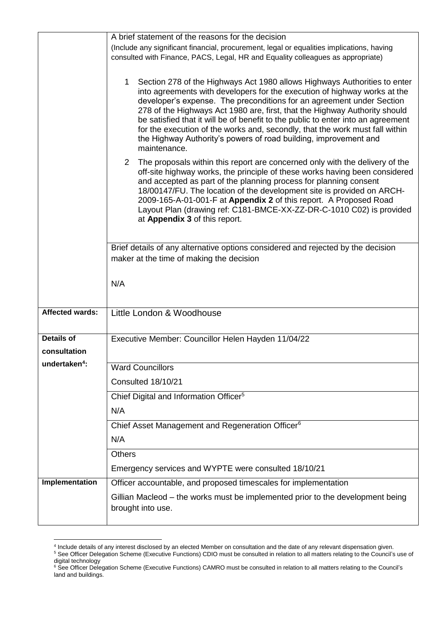|                           | A brief statement of the reasons for the decision<br>(Include any significant financial, procurement, legal or equalities implications, having                                                                                                                                                                                                                                                                                                                                                                                                                             |  |  |  |  |
|---------------------------|----------------------------------------------------------------------------------------------------------------------------------------------------------------------------------------------------------------------------------------------------------------------------------------------------------------------------------------------------------------------------------------------------------------------------------------------------------------------------------------------------------------------------------------------------------------------------|--|--|--|--|
|                           | consulted with Finance, PACS, Legal, HR and Equality colleagues as appropriate)                                                                                                                                                                                                                                                                                                                                                                                                                                                                                            |  |  |  |  |
|                           |                                                                                                                                                                                                                                                                                                                                                                                                                                                                                                                                                                            |  |  |  |  |
|                           | Section 278 of the Highways Act 1980 allows Highways Authorities to enter<br>1<br>into agreements with developers for the execution of highway works at the<br>developer's expense. The preconditions for an agreement under Section<br>278 of the Highways Act 1980 are, first, that the Highway Authority should<br>be satisfied that it will be of benefit to the public to enter into an agreement<br>for the execution of the works and, secondly, that the work must fall within<br>the Highway Authority's powers of road building, improvement and<br>maintenance. |  |  |  |  |
|                           | $\mathbf{2}$<br>The proposals within this report are concerned only with the delivery of the<br>off-site highway works, the principle of these works having been considered<br>and accepted as part of the planning process for planning consent<br>18/00147/FU. The location of the development site is provided on ARCH-<br>2009-165-A-01-001-F at Appendix 2 of this report. A Proposed Road<br>Layout Plan (drawing ref: C181-BMCE-XX-ZZ-DR-C-1010 C02) is provided<br>at Appendix 3 of this report.                                                                   |  |  |  |  |
|                           | Brief details of any alternative options considered and rejected by the decision                                                                                                                                                                                                                                                                                                                                                                                                                                                                                           |  |  |  |  |
|                           | maker at the time of making the decision                                                                                                                                                                                                                                                                                                                                                                                                                                                                                                                                   |  |  |  |  |
|                           |                                                                                                                                                                                                                                                                                                                                                                                                                                                                                                                                                                            |  |  |  |  |
|                           | N/A                                                                                                                                                                                                                                                                                                                                                                                                                                                                                                                                                                        |  |  |  |  |
|                           |                                                                                                                                                                                                                                                                                                                                                                                                                                                                                                                                                                            |  |  |  |  |
|                           |                                                                                                                                                                                                                                                                                                                                                                                                                                                                                                                                                                            |  |  |  |  |
| <b>Affected wards:</b>    | Little London & Woodhouse                                                                                                                                                                                                                                                                                                                                                                                                                                                                                                                                                  |  |  |  |  |
|                           |                                                                                                                                                                                                                                                                                                                                                                                                                                                                                                                                                                            |  |  |  |  |
| <b>Details of</b>         | Executive Member: Councillor Helen Hayden 11/04/22                                                                                                                                                                                                                                                                                                                                                                                                                                                                                                                         |  |  |  |  |
| consultation              |                                                                                                                                                                                                                                                                                                                                                                                                                                                                                                                                                                            |  |  |  |  |
| undertaken <sup>4</sup> : | <b>Ward Councillors</b>                                                                                                                                                                                                                                                                                                                                                                                                                                                                                                                                                    |  |  |  |  |
|                           | Consulted 18/10/21                                                                                                                                                                                                                                                                                                                                                                                                                                                                                                                                                         |  |  |  |  |
|                           | Chief Digital and Information Officer <sup>5</sup>                                                                                                                                                                                                                                                                                                                                                                                                                                                                                                                         |  |  |  |  |
|                           | N/A                                                                                                                                                                                                                                                                                                                                                                                                                                                                                                                                                                        |  |  |  |  |
|                           |                                                                                                                                                                                                                                                                                                                                                                                                                                                                                                                                                                            |  |  |  |  |
|                           | Chief Asset Management and Regeneration Officer <sup>6</sup>                                                                                                                                                                                                                                                                                                                                                                                                                                                                                                               |  |  |  |  |
|                           | N/A                                                                                                                                                                                                                                                                                                                                                                                                                                                                                                                                                                        |  |  |  |  |
|                           | <b>Others</b>                                                                                                                                                                                                                                                                                                                                                                                                                                                                                                                                                              |  |  |  |  |
|                           | Emergency services and WYPTE were consulted 18/10/21                                                                                                                                                                                                                                                                                                                                                                                                                                                                                                                       |  |  |  |  |
| Implementation            | Officer accountable, and proposed timescales for implementation                                                                                                                                                                                                                                                                                                                                                                                                                                                                                                            |  |  |  |  |
|                           | Gillian Macleod – the works must be implemented prior to the development being                                                                                                                                                                                                                                                                                                                                                                                                                                                                                             |  |  |  |  |
|                           | brought into use.                                                                                                                                                                                                                                                                                                                                                                                                                                                                                                                                                          |  |  |  |  |
|                           |                                                                                                                                                                                                                                                                                                                                                                                                                                                                                                                                                                            |  |  |  |  |

 4 Include details of any interest disclosed by an elected Member on consultation and the date of any relevant dispensation given.

<sup>&</sup>lt;sup>5</sup> See Officer Delegation Scheme (Executive Functions) CDIO must be consulted in relation to all matters relating to the Council's use of digital technology

<sup>&</sup>lt;sup>6</sup> See Officer Delegation Scheme (Executive Functions) CAMRO must be consulted in relation to all matters relating to the Council's land and buildings.